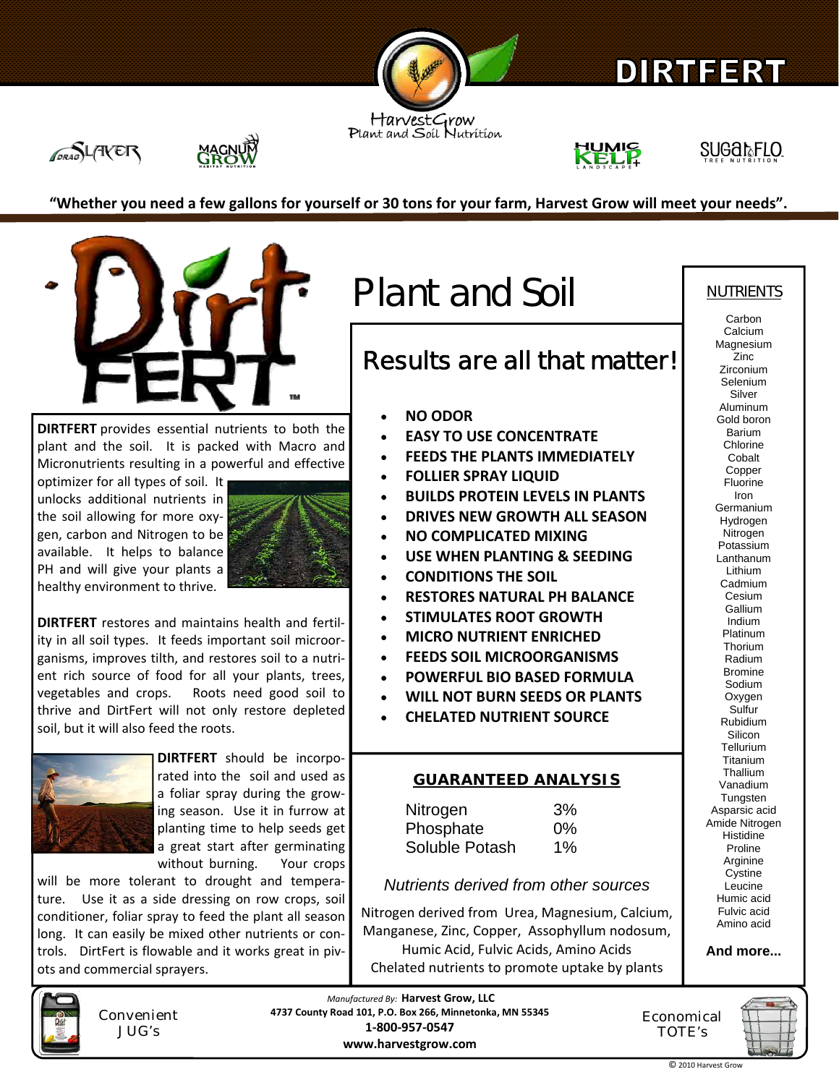

# DIRTEERT

HarvestGrow<br>Plant and Soil Nutrition







**Carbon** 

"Whether you need a few gallons for yourself or 30 tons for your farm, Harvest Grow will meet your needs".



**DIRTFERT** provides essential nutrients to both the plant and the soil. It is packed with Macro and Micronutrients resulting in a powerful and effective

optimizer for all types of soil. It unlocks additional nutrients in the soil allowing for more oxy‐ gen, carbon and Nitrogen to be available. It helps to balance PH and will give your plants a healthy environment to thrive.



**DIRTFERT** restores and maintains health and fertil‐ ity in all soil types. It feeds important soil microor‐ ganisms, improves tilth, and restores soil to a nutri‐ ent rich source of food for all your plants, trees, vegetables and crops. Roots need good soil to thrive and DirtFert will not only restore depleted soil, but it will also feed the roots.



**DIRTFERT** should be incorpo‐ rated into the soil and used as a foliar spray during the grow‐ ing season. Use it in furrow at planting time to help seeds get a great start after germinating without burning. Your crops

will be more tolerant to drought and temperature. Use it as a side dressing on row crops, soil conditioner, foliar spray to feed the plant all season long. It can easily be mixed other nutrients or con‐ trols. DirtFert is flowable and it works great in piv‐ ots and commercial sprayers.



Convenient JUG's

Plant and Soil NUTRIENTS

# **Results are all that matter!**

- **NO ODOR**
- **EASY TO USE CONCENTRATE**
- **FEEDS THE PLANTS IMMEDIATELY**
- **FOLLIER SPRAY LIQUID**
- **BUILDS PROTEIN LEVELS IN PLANTS**
- **DRIVES NEW GROWTH ALL SEASON**
- **NO COMPLICATED MIXING**
- **USE WHEN PLANTING & SEEDING**
- **CONDITIONS THE SOIL**
- **RESTORES NATURAL PH BALANCE**
- **STIMULATES ROOT GROWTH**
- **MICRO NUTRIENT ENRICHED**
- **FEEDS SOIL MICROORGANISMS**
- **POWERFUL BIO BASED FORMULA**
- **WILL NOT BURN SEEDS OR PLANTS**
- **CHELATED NUTRIENT SOURCE**

### **GUARANTEED ANALYSIS**

Nitrogen 3% Phosphate 0% Soluble Potash 1%

## *Nutrients derived from other sources*

Nitrogen derived from Urea, Magnesium, Calcium, Manganese, Zinc, Copper, Assophyllum nodosum, Humic Acid, Fulvic Acids, Amino Acids Chelated nutrients to promote uptake by plants

Calcium Magnesium Zinc Zirconium Selenium Silver Aluminum Gold boron Barium Chlorine Cobalt Copper Fluorine Iron Germanium Hydrogen **Nitrogen** Potassium Lanthanum Lithium Cadmium Cesium **Gallium** Indium Platinum Thorium Radium Bromine Sodium Oxygen Sulfur Rubidium Silicon **Tellurium** Titanium Thallium Vanadium **Tungsten** Asparsic acid Amide Nitrogen **Histidine** Proline Arginine Cystine Leucine Humic acid Fulvic acid Amino acid

**And more...** 

*Manufactured By:* **Harvest Grow, LLC 4737 County Road 101, P.O. Box 266, Minnetonka, MN 55345 1‐800‐957‐0547 www.harvestgrow.com**